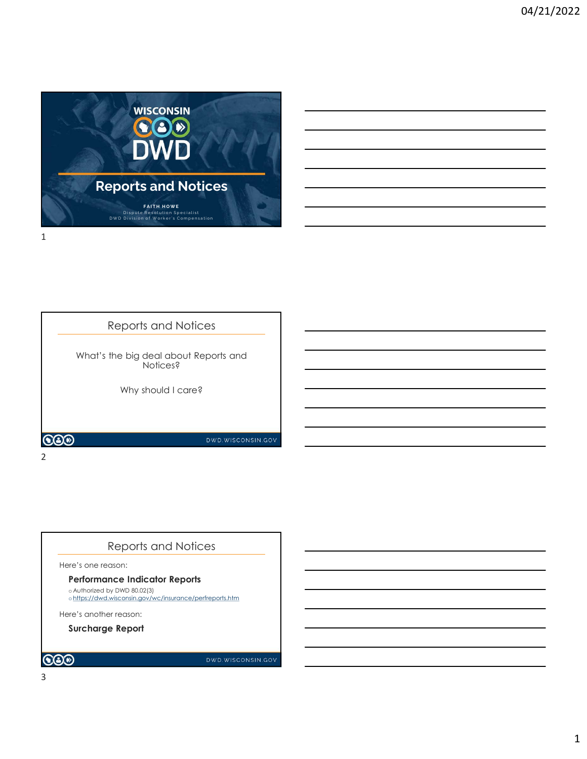

# Reports and Notices

What's the big deal about Reports and Notices?

Why should I care?

COO

2 and 2 and 2 and 2 and 2 and 2 and 2 and 2 and 2 and 2 and 2 and 2 and 2 and 2 and 2 and 2 and 2 and 2 and 2

# Reports and Notices

Here's one reason:

Performance Indicator Reports

o Authorized by DWD 80.02(3) ohttps://dwd.wisconsin.gov/wc/insurance/perfreports.htm

Here's another reason:

Surcharge Report

DWD.WISCONSIN.GOV

DWD.WISCONSIN.GOV

3

COO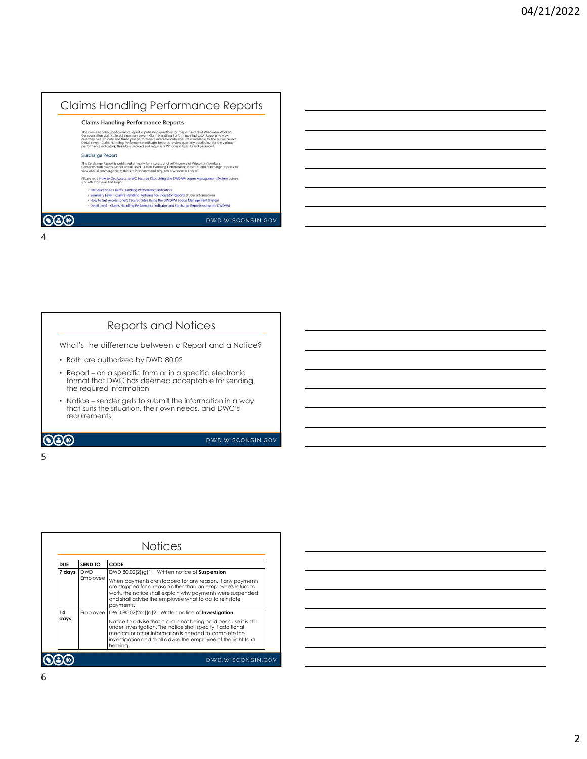# Claims Handling Performance Reports

- 
- 
- 

4

### Reports and Notices

- Both are authorized by DWD 80.02
- From Hardling Performance Report<br>
Signal of the specific form or in a specific form or in a specific form or in a specific electronic form or in a specific form or in a specific form or in a specific form or in a specific • Report – on a specific form or in a specific electronic<br>format that DWC has deemed acceptable for sending the required information • Notice – sender gets to submit the information in a way because the information in a way of the submit the information in a way of the difference between a Report and a Notice?<br>
• Notice – sender gets to submit the infor
- that suits the situation, their own needs, and DWC's requirements

### $5<sub>5</sub>$

|            |              | Reports and Notices                                                                                                                                                                                                                                          |
|------------|--------------|--------------------------------------------------------------------------------------------------------------------------------------------------------------------------------------------------------------------------------------------------------------|
|            |              | What's the difference between a Report and a Notice?                                                                                                                                                                                                         |
|            |              | • Both are authorized by DWD 80.02                                                                                                                                                                                                                           |
|            |              | • Report – on a specific form or in a specific electronic<br>format that DWC has deemed acceptable for sending<br>the required information                                                                                                                   |
|            | requirements | • Notice – sender gets to submit the information in a way<br>that suits the situation, their own needs, and DWC's                                                                                                                                            |
|            |              | DWD.WISCONSIN.GOV                                                                                                                                                                                                                                            |
|            |              |                                                                                                                                                                                                                                                              |
|            |              |                                                                                                                                                                                                                                                              |
|            |              |                                                                                                                                                                                                                                                              |
|            |              |                                                                                                                                                                                                                                                              |
|            |              |                                                                                                                                                                                                                                                              |
|            |              |                                                                                                                                                                                                                                                              |
|            |              | <b>Notices</b>                                                                                                                                                                                                                                               |
|            |              |                                                                                                                                                                                                                                                              |
| <b>DUE</b> | SEND TO      | <b>CODE</b>                                                                                                                                                                                                                                                  |
| 7 days     | <b>DWD</b>   | DWD 80.02(2)(g)1. Written notice of Suspension                                                                                                                                                                                                               |
|            | Employee     | When payments are stopped for any reason. If any payments<br>are stopped for a reason other than an employee's return to<br>work, the notice shall explain why payments were suspended<br>and shall advise the employee what to do to reinstate<br>payments. |
| 14         | Employee     | DWD 80.02(2m)(a)2. Written notice of Investigation                                                                                                                                                                                                           |
| days       |              | Notice to advise that claim is not being paid because it is still<br>under investigation. The notice shall specify if additional                                                                                                                             |
|            |              | medical or other information is needed to complete the<br>investigation and shall advise the employee of the right to a<br>hearing.                                                                                                                          |
|            |              |                                                                                                                                                                                                                                                              |
|            |              | DWD.WISCONSIN.GOV                                                                                                                                                                                                                                            |

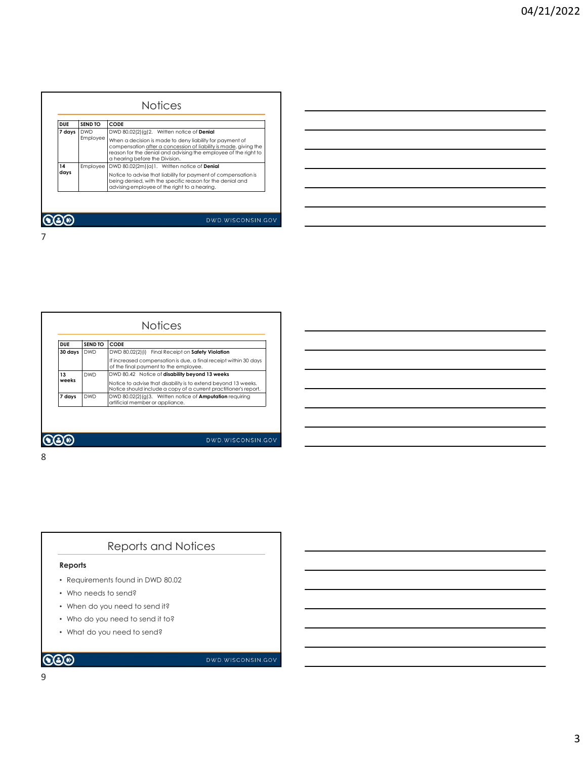|                      |                | <b>Notices</b>                                                                                                                      |
|----------------------|----------------|-------------------------------------------------------------------------------------------------------------------------------------|
|                      |                |                                                                                                                                     |
| <b>DUE</b>           | <b>SEND TO</b> | <b>CODE</b>                                                                                                                         |
| 7 days<br><b>DWD</b> |                | DWD 80.02(2)(g)2. Written notice of Denial                                                                                          |
|                      | Employee       | When a decision is made to deny liability for payment of                                                                            |
|                      |                | compensation after a concession of liability is made, giving the<br>reason for the denial and advising the employee of the right to |
| 14                   |                | a hearing before the Division.                                                                                                      |
| days                 | Employee       | DWD 80.02(2m)(a)1. Written notice of Denial<br>Notice to advise that liability for payment of compensation is                       |
|                      |                | being denied, with the specific reason for the denial and                                                                           |
|                      |                | advising employee of the right to a hearing.                                                                                        |
|                      |                |                                                                                                                                     |
|                      |                |                                                                                                                                     |
|                      |                | DWD.WISCONSIN.GOV                                                                                                                   |
|                      |                |                                                                                                                                     |
|                      |                |                                                                                                                                     |
|                      |                |                                                                                                                                     |
|                      |                |                                                                                                                                     |
|                      |                |                                                                                                                                     |
|                      |                |                                                                                                                                     |
|                      |                |                                                                                                                                     |
|                      |                |                                                                                                                                     |
|                      |                |                                                                                                                                     |
|                      |                |                                                                                                                                     |
|                      |                |                                                                                                                                     |
|                      |                | <b>Notices</b>                                                                                                                      |
|                      |                |                                                                                                                                     |
| <b>DUE</b>           | <b>SEND TO</b> | CODE                                                                                                                                |
| 30 days              | <b>DWD</b>     | DWD 80.02(2)(i) Final Receipt on Safety Violation                                                                                   |
|                      |                | If increased compensation is due, a final receipt within 30 days<br>of the final payment to the employee.                           |
| 13                   | <b>DWD</b>     | DWD 80.42 Notice of disability beyond 13 weeks                                                                                      |
|                      |                | Notice to advise that disability is to extend beyond 13 weeks.                                                                      |
| weeks<br>7 days      | <b>DWD</b>     | Notice should include a copy of a current practitioner's report.<br>DWD 80.02(2)(g)3. Written notice of <b>Amputation</b> requiring |

|  | the control of the control of |
|--|-------------------------------|
|  |                               |
|  |                               |
|  | ____                          |
|  |                               |

| <b>DUE</b> | <b>SEND TO</b> | <b>CODE</b>                                                                                                                        |
|------------|----------------|------------------------------------------------------------------------------------------------------------------------------------|
| 30 days    | <b>DWD</b>     | DWD 80.02(2)(i) Final Receipt on Safety Violation                                                                                  |
|            |                | If increased compensation is due, a final receipt within 30 days<br>of the final payment to the employee.                          |
| 13         | <b>DWD</b>     | DWD 80.42 Notice of disability beyond 13 weeks                                                                                     |
| weeks      |                | Notice to advise that disability is to extend beyond 13 weeks.<br>Notice should include a copy of a current practitioner's report. |
| 7 days     | <b>DWD</b>     | DWD 80.02(2)(g)3. Written notice of <b>Amputation</b> requiring<br>artificial member or appliance.                                 |

# Reports and Notices

### Reports

- Requirements found in DWD 80.02
- Who needs to send?
- When do you need to send it?
- Who do you need to send it to?
- What do you need to send?

### **COD**

DWD.WISCONSIN.GOV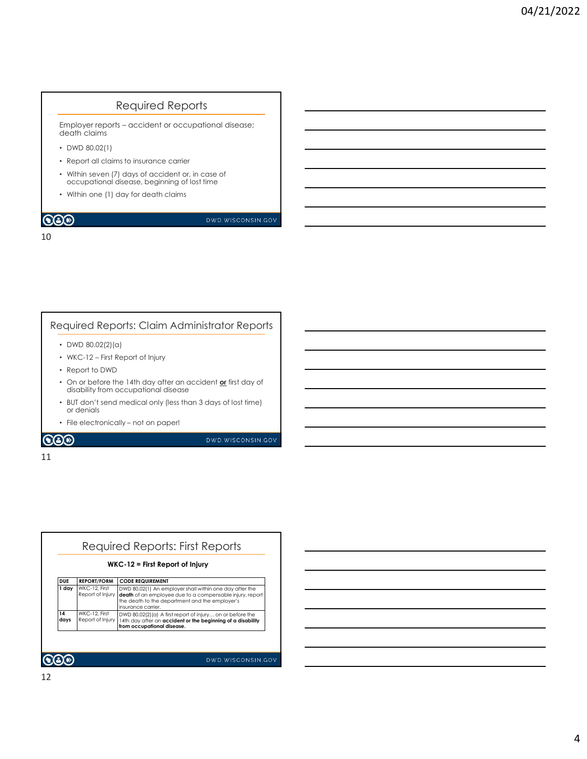## Required Reports

Required Reports<br>
Employer reports – accident or occupational disease;<br>
o MVD 80.02(1)<br>
• Report all claims to insurance carrier<br>
• Within seven (7) days of accident or, in case of<br>
• occupational disease, beginning of los death claims

- DWD 80.02(1)
- Report all claims to insurance carrier
- Within seven (7) days of accident or, in case of occupational disease, beginning of lost time
- Within one (1) day for death claims

### 10

### Required Reports: Claim Administrator Reports

- DWD 80.02(2)(a)
- 
- Report to DWD
- On or before the 14th day after an accident  $\underline{\textsf{or}}$  first day of disability from occupational disease
- **Employer reports**<br> **Employer reports** accident or occupational disease;<br>
 Whis associal (aligns to insurance carrier<br>
 Whis associal (aligns accident or, in case of<br>
 occupational disease, beginning of lost time<br> • BUT don't send medical only (less than 3 days of lost time) or denials • Within seven (7) days of accident of c, in case of<br>
occupational disease, beginning of lost time<br>
• Within one (1) day for death claims<br>
• Within one (1) day for death claims<br>
• With a computer of the latter of the stat
- 

### 11

| ٠          | Report to DWD                     | • WKC-12 – First Report of Injury                                                                                                                                                           |                   |
|------------|-----------------------------------|---------------------------------------------------------------------------------------------------------------------------------------------------------------------------------------------|-------------------|
|            |                                   | • On or before the 14th day after an accident or first day of<br>disability from occupational disease                                                                                       |                   |
|            | or denials                        | • BUT don't send medical only (less than 3 days of lost time)                                                                                                                               |                   |
|            |                                   | • File electronically - not on paper!                                                                                                                                                       |                   |
| 80         |                                   |                                                                                                                                                                                             | DWD.WISCONSIN.GOV |
|            |                                   |                                                                                                                                                                                             |                   |
|            |                                   |                                                                                                                                                                                             |                   |
|            |                                   |                                                                                                                                                                                             |                   |
|            |                                   |                                                                                                                                                                                             |                   |
|            |                                   |                                                                                                                                                                                             |                   |
|            |                                   |                                                                                                                                                                                             |                   |
|            |                                   |                                                                                                                                                                                             |                   |
|            |                                   | Required Reports: First Reports                                                                                                                                                             |                   |
|            |                                   | WKC-12 = First Report of Injury                                                                                                                                                             |                   |
| <b>DUE</b> | <b>REPORT/FORM</b>                | <b>CODE REQUIREMENT</b>                                                                                                                                                                     |                   |
| 1 day      | WKC-12, First<br>Report of Injury | DWD 80.02(1) An employer shall within one day after the<br>death of an employee due to a compensable injury, report<br>the death to the department and the employer's<br>insurance carrier. |                   |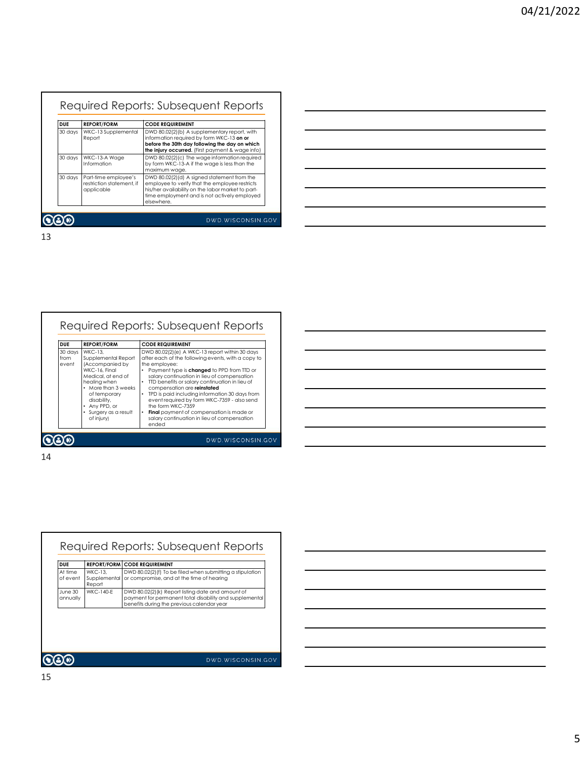|    |                          |                                                                 | Required Reports: Subsequent Reports                                                                                                                                                                                       |  |  |  |  |
|----|--------------------------|-----------------------------------------------------------------|----------------------------------------------------------------------------------------------------------------------------------------------------------------------------------------------------------------------------|--|--|--|--|
|    | <b>DUE</b><br>30 days    | <b>REPORT/FORM</b><br>WKC-13 Supplemental<br>Report             | <b>CODE REQUIREMENT</b><br>DWD 80.02(2)(b) A supplementary report, with<br>information required by form WKC-13 on or<br>before the 30th day following the day on which<br>the injury occurred. (First payment & wage info) |  |  |  |  |
|    | 30 days                  | WKC-13-A Wage<br>Information                                    | DWD 80.02(2)(c) The wage information required<br>by form WKC-13-A if the wage is less than the<br>maximum wage.                                                                                                            |  |  |  |  |
|    | 30 days                  | Part-time employee's<br>restriction statement, if<br>applicable | DWD 80.02(2)(d) A signed statement from the<br>employee to verify that the employee restricts<br>his/her availability on the labor market to part-<br>time employment and is not actively employed                         |  |  |  |  |
|    |                          |                                                                 | elsewhere.<br>DWD.WISCONSIN.GOV                                                                                                                                                                                            |  |  |  |  |
| 13 |                          |                                                                 |                                                                                                                                                                                                                            |  |  |  |  |
|    |                          |                                                                 |                                                                                                                                                                                                                            |  |  |  |  |
|    |                          |                                                                 |                                                                                                                                                                                                                            |  |  |  |  |
|    |                          |                                                                 |                                                                                                                                                                                                                            |  |  |  |  |
|    |                          |                                                                 | Required Reports: Subsequent Reports                                                                                                                                                                                       |  |  |  |  |
|    | <b>DUE</b>               | <b>REPORT/FORM</b>                                              | <b>CODE REQUIREMENT</b>                                                                                                                                                                                                    |  |  |  |  |
|    | 30 days<br>from<br>event | <b>WKC-13,</b><br>Supplemental Report<br>(Accompanied by        | DWD 80.02(2)(e) A WKC-13 report within 30 days<br>after each of the following events, with a copy to<br>the employee:                                                                                                      |  |  |  |  |
|    |                          | WKC-16, Final<br>Medical, at end of<br>healing when             | Payment type is changed to PPD from TTD or<br>$\bullet$<br>salary continuation in lieu of compensation<br>TTD benefits or salary continuation in lieu of                                                                   |  |  |  |  |
|    |                          | • More than 3 weeks<br>of temporary<br>disability,              | compensation are reinstated<br>• TPD is paid including information 30 days from<br>event required by form WKC-7359 - also send                                                                                             |  |  |  |  |



|    | <b>DUE</b>               | <b>REPORT/FORM</b>                                                        | <b>CODE REQUIREMENT</b>                                                                                                                                                                     |  |
|----|--------------------------|---------------------------------------------------------------------------|---------------------------------------------------------------------------------------------------------------------------------------------------------------------------------------------|--|
|    | 30 days<br>from<br>event | <b>WKC-13.</b><br>Supplemental Report<br>(Accompanied by<br>WKC-16, Final | DWD 80.02(2)(e) A WKC-13 report within 30 days<br>after each of the following events, with a copy to<br>the employee:<br>• Payment type is changed to PPD from TTD or                       |  |
|    |                          | Medical, at end of<br>healing when<br>• More than 3 weeks<br>of temporary | salary continuation in lieu of compensation<br>TTD benefits or salary continuation in lieu of<br>compensation are reinstated<br>$\bullet$<br>TPD is paid including information 30 days from |  |
|    |                          | disability,<br>• Any PPD, or<br>Surgery as a result<br>of injury)         | event required by form WKC-7359 - also send<br>the form WKC-7359<br>Final payment of compensation is made or<br>$\bullet$<br>salary continuation in lieu of compensation                    |  |
|    |                          |                                                                           | ended                                                                                                                                                                                       |  |
|    |                          |                                                                           | DWD.WISCONSIN.GOV                                                                                                                                                                           |  |
|    |                          |                                                                           |                                                                                                                                                                                             |  |
| 14 |                          |                                                                           |                                                                                                                                                                                             |  |
|    |                          |                                                                           |                                                                                                                                                                                             |  |
|    |                          |                                                                           |                                                                                                                                                                                             |  |
|    |                          |                                                                           |                                                                                                                                                                                             |  |
|    |                          |                                                                           |                                                                                                                                                                                             |  |
|    |                          |                                                                           |                                                                                                                                                                                             |  |
|    |                          |                                                                           |                                                                                                                                                                                             |  |
|    |                          |                                                                           |                                                                                                                                                                                             |  |
|    |                          |                                                                           |                                                                                                                                                                                             |  |
|    |                          |                                                                           |                                                                                                                                                                                             |  |
|    |                          |                                                                           |                                                                                                                                                                                             |  |
|    |                          |                                                                           |                                                                                                                                                                                             |  |
|    |                          |                                                                           | Required Reports: Subsequent Reports                                                                                                                                                        |  |
|    | <b>DUE</b>               | <b>REPORT/FORM CODE REQUIREMENT</b>                                       |                                                                                                                                                                                             |  |
|    | At time<br>of event      | <b>WKC-13.</b><br>Supplemental<br>Report                                  | DWD 80.02(2)(f) To be filed when submitting a stipulation<br>or compromise, and at the time of hearing                                                                                      |  |
|    | June 30<br>annually      | WKC-140-F                                                                 | DWD 80.02(2)(k) Report listing date and amount of<br>payment for permanent total disability and supplemental<br>benefits during the previous calendar year                                  |  |
|    |                          |                                                                           |                                                                                                                                                                                             |  |
|    |                          |                                                                           |                                                                                                                                                                                             |  |
|    |                          |                                                                           |                                                                                                                                                                                             |  |
|    |                          |                                                                           |                                                                                                                                                                                             |  |
|    |                          |                                                                           |                                                                                                                                                                                             |  |
|    |                          |                                                                           | DWD.WISCONSIN.GOV                                                                                                                                                                           |  |



15